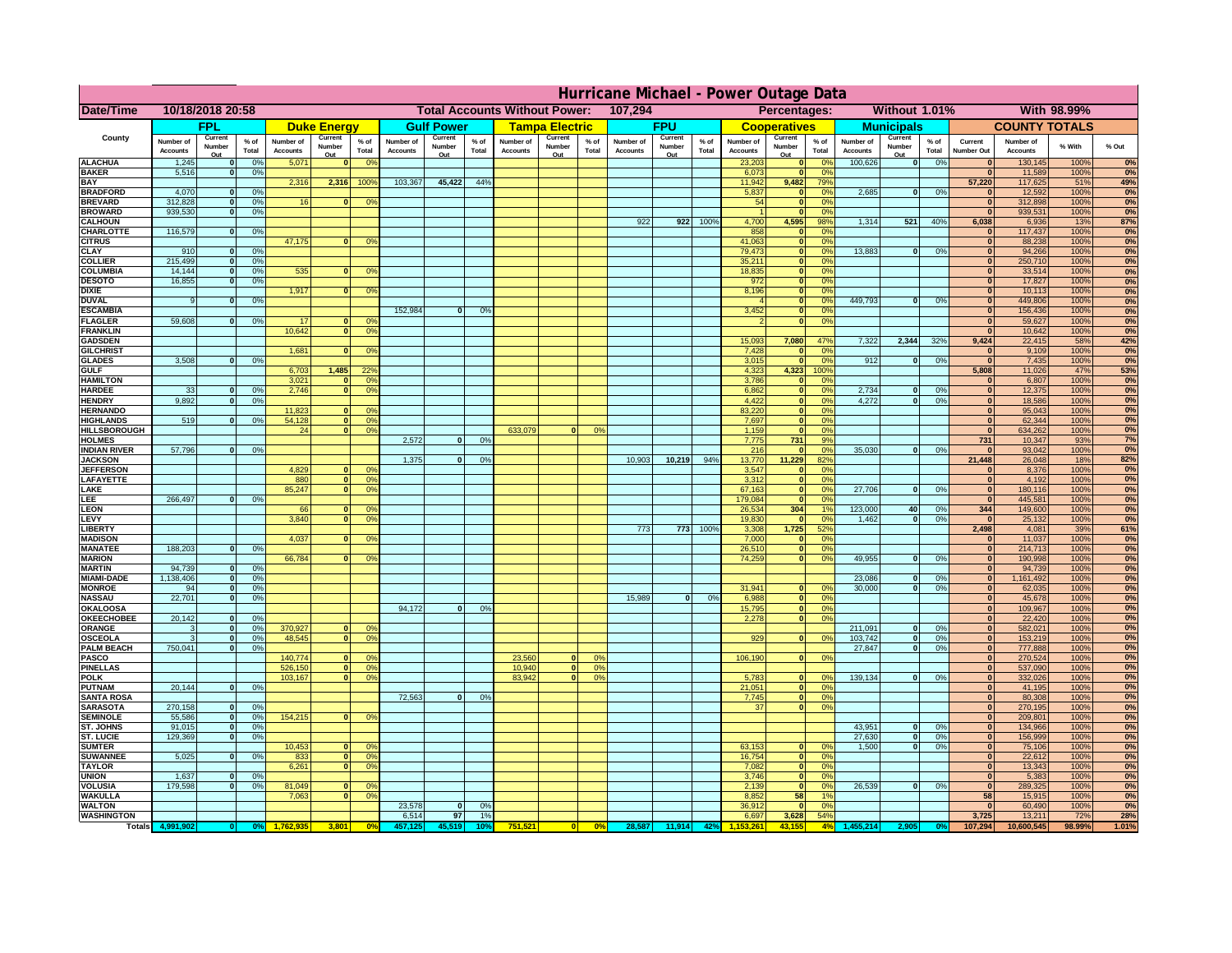|                                      | Hurricane Michael - Power Outage Data |                             |                      |                              |                      |                                                 |                              |                   |                |                              |                                                     |                  |                       |                   |               |                              |                     |                       |                              |                          |                 |                              |                              |              |           |
|--------------------------------------|---------------------------------------|-----------------------------|----------------------|------------------------------|----------------------|-------------------------------------------------|------------------------------|-------------------|----------------|------------------------------|-----------------------------------------------------|------------------|-----------------------|-------------------|---------------|------------------------------|---------------------|-----------------------|------------------------------|--------------------------|-----------------|------------------------------|------------------------------|--------------|-----------|
| Date/Time                            | 10/18/2018 20:58                      |                             |                      |                              |                      | 107,294<br><b>Total Accounts Without Power:</b> |                              |                   |                |                              | <b>Without 1.01%</b><br>With 98.99%<br>Percentages: |                  |                       |                   |               |                              |                     |                       |                              |                          |                 |                              |                              |              |           |
|                                      |                                       | FPL                         |                      |                              | <b>Duke Energy</b>   |                                                 |                              | <b>Gulf Power</b> |                |                              | <b>Tampa Electric</b>                               |                  |                       | <b>FPU</b>        |               |                              | <b>Cooperatives</b> |                       |                              | <b>Municipals</b>        |                 |                              | <b>COUNTY TOTALS</b>         |              |           |
| County                               | Number of<br><b>Accounts</b>          | Current<br>Number           | $%$ of<br>Total      | Number of<br><b>Accounts</b> | Current<br>Number    | $%$ of<br>Total                                 | Number of<br><b>Accounts</b> | Current<br>Number | % of<br>Total  | Number of<br><b>Accounts</b> | Current<br>Number                                   | $%$ of<br>Total  | Number of<br>Accounts | Current<br>Number | % of<br>Total | Number of<br><b>Accounts</b> | Current<br>Number   | $%$ of<br>Total       | Number of<br><b>Accounts</b> | Current<br>Number        | $%$ of<br>Total | Current<br><b>Number Out</b> | Number of<br><b>Accounts</b> | % With       | % Out     |
| <b>ALACHUA</b>                       | 1,245                                 | Out<br>$\mathbf{0}$         | 0%                   | 5,071                        | Out<br>$\mathbf{0}$  | 0 <sup>9</sup>                                  |                              | Out               |                |                              | Out                                                 |                  |                       | Out               |               | 23,203                       | Out<br> 0           | 0 <sup>9</sup>        | 100,626                      | Out<br> 0                | 0%              | $\bf{0}$                     | 130,145                      | 100%         | 0%        |
| <b>BAKER</b>                         | 5,516                                 | 0                           | 0%                   |                              |                      |                                                 |                              |                   |                |                              |                                                     |                  |                       |                   |               | 6,073                        | 0                   | 0%                    |                              |                          |                 | $\mathbf{0}$                 | 11,589                       | 100%         | 0%        |
| <b>BAY</b><br><b>BRADFORD</b>        | 4,070                                 | $\mathbf{0}$                | 0%                   | 2,316                        | 2,316                | 100%                                            | 103,367                      | 45,422            | 44%            |                              |                                                     |                  |                       |                   |               | 11,942<br>5,837              | 9,482<br> 0         | 79%<br>0%             | 2,685                        | 0                        | 0%              | 57,220<br>$\bf{0}$           | 117,625<br>12,592            | 51%<br>100%  | 49%<br>0% |
| <b>BREVARD</b>                       | 312,828                               | 0                           | 0%                   | 16                           | $\mathbf{0}$         | 0 <sup>o</sup>                                  |                              |                   |                |                              |                                                     |                  |                       |                   |               | 54                           | 0                   | 0%                    |                              |                          |                 | $\mathbf{0}$                 | 312,898                      | 100%         | 0%        |
| <b>BROWARD</b>                       | 939.530                               | 0                           | 0%                   |                              |                      |                                                 |                              |                   |                |                              |                                                     |                  |                       |                   |               |                              | 0                   | 0%                    |                              |                          |                 | $\bf{0}$                     | 939,531                      | 100%         | 0%        |
| <b>CALHOUN</b><br>CHARLOTTE          | 116,579                               | 0                           | 0%                   |                              |                      |                                                 |                              |                   |                |                              |                                                     |                  | 922                   | 922               | 100%          | 4,700<br>858                 | 4,595<br> 0         | 98%<br>0 <sup>9</sup> | 1,314                        | 521                      | 40%             | 6,038<br>$\bf{0}$            | 6,936<br>117,437             | 13%<br>100%  | 87%<br>0% |
| <b>CITRUS</b>                        |                                       |                             |                      | 47,175                       | $\mathbf{0}$         | 0 <sup>o</sup>                                  |                              |                   |                |                              |                                                     |                  |                       |                   |               | 41,063                       | 0                   | 0 <sup>9</sup>        |                              |                          |                 | $\bf{0}$                     | 88,238                       | 100%         | 0%        |
| <b>CLAY</b>                          | 910                                   | $\mathbf{0}$                | 0%                   |                              |                      |                                                 |                              |                   |                |                              |                                                     |                  |                       |                   |               | 79,473                       | 0                   | 0 <sup>9</sup>        | 13,883                       | $\mathbf{0}$             | 0%              | $\bf{0}$                     | 94,266                       | 100%         | 0%        |
| <b>COLLIER</b><br><b>COLUMBIA</b>    | 215,499<br>14,144                     | $\mathbf{0}$<br>$\mathbf 0$ | 0 <sup>9</sup><br>0% | 535                          | $\mathbf{0}$         | 0 <sup>9</sup>                                  |                              |                   |                |                              |                                                     |                  |                       |                   |               | 35,211<br>18,835             | 0 <br> 0            | 0%<br>0%              |                              |                          |                 | $\bf{0}$<br>$\bf{0}$         | 250,710<br>33,514            | 100%<br>100% | 0%<br>0%  |
| <b>DESOTO</b>                        | 16,855                                | $\mathbf{0}$                | 0%                   |                              |                      |                                                 |                              |                   |                |                              |                                                     |                  |                       |                   |               | 972                          | 0                   | 0%                    |                              |                          |                 | $\bf{0}$                     | 17,827                       | 100%         | 0%        |
| <b>DIXIE</b>                         |                                       |                             |                      | 1,917                        | $\mathbf{0}$         | 0 <sup>9</sup>                                  |                              |                   |                |                              |                                                     |                  |                       |                   |               | 8,196                        | 0                   | 0%                    |                              |                          |                 | $\Omega$                     | 10,113                       | 100%         | 0%        |
| <b>DUVAL</b>                         | 9                                     | $\Omega$                    | 0%                   |                              |                      |                                                 | 152,984                      |                   |                |                              |                                                     |                  |                       |                   |               |                              | 0                   | 0%                    | 449.793                      | $\overline{0}$           | 0%              | $\Omega$<br>$\Omega$         | 449,806                      | 100%         | 0%        |
| <b>ESCAMBIA</b><br><b>FLAGLER</b>    | 59,608                                | $\overline{0}$              | 0%                   | 17                           | $\bf{0}$             | 0 <sup>o</sup>                                  |                              | $\mathbf{0}$      | 0 <sup>9</sup> |                              |                                                     |                  |                       |                   |               | 3,452                        | 0 <br> 0            | 0%<br>0%              |                              |                          |                 | $\mathbf{0}$                 | 156,436<br>59,627            | 100%<br>100% | 0%<br>0%  |
| <b>FRANKLIN</b>                      |                                       |                             |                      | 10,642                       | 0                    | 0 <sup>9</sup>                                  |                              |                   |                |                              |                                                     |                  |                       |                   |               |                              |                     |                       |                              |                          |                 | $\Omega$                     | 10,642                       | 100%         | 0%        |
| <b>GADSDEN</b>                       |                                       |                             |                      |                              |                      |                                                 |                              |                   |                |                              |                                                     |                  |                       |                   |               | 15,093                       | 7,080               | 47%                   | 7,322                        | 2,344                    | 32%             | 9,424                        | 22,415                       | 58%          | 42%       |
| <b>GILCHRIST</b><br><b>GLADES</b>    | 3,508                                 | 0                           | 0%                   | 1,681                        | $\mathbf{0}$         | 0 <sup>9</sup>                                  |                              |                   |                |                              |                                                     |                  |                       |                   |               | 7,428<br>3,015               | 0 <br> 0            | 0%<br>0%              | 912                          | $\overline{0}$           | 0%              | $\mathbf{0}$<br> 0           | 9,109<br>7,435               | 100%<br>100% | 0%<br>0%  |
| <b>GULF</b>                          |                                       |                             |                      | 6,703                        | 1,485                | 22 <sup>o</sup>                                 |                              |                   |                |                              |                                                     |                  |                       |                   |               | 4,323                        | 4,323               | 100%                  |                              |                          |                 | 5,808                        | 11,026                       | 47%          | 53%       |
| <b>HAMILTON</b>                      |                                       |                             |                      | 3,021                        | $\Omega$             | 0 <sup>9</sup>                                  |                              |                   |                |                              |                                                     |                  |                       |                   |               | 3,786                        | 0                   | 0%                    |                              |                          |                 | $\Omega$                     | 6,807                        | 100%         | 0%        |
| <b>HARDEE</b>                        | 33                                    | $\overline{0}$<br>$\Omega$  | 0%                   | 2.746                        | $\overline{0}$       | 0 <sup>9</sup>                                  |                              |                   |                |                              |                                                     |                  |                       |                   |               | 6.862                        | $\overline{0}$      | 0%                    | 2.734                        | $\mathbf{0}$<br>$\Omega$ | 0%              | 0 <br>$\Omega$               | 12,375                       | 100%         | 0%        |
| <b>HENDRY</b><br><b>HERNANDO</b>     | 9,892                                 |                             | 0%                   | 11,823                       | $\mathbf{0}$         | 0 <sup>9</sup>                                  |                              |                   |                |                              |                                                     |                  |                       |                   |               | 4,422<br>83,220              | 0 <br> 0            | 0%<br>0%              | 4,272                        |                          | 0%              | 0                            | 18,586<br>95,043             | 100%<br>100% | 0%<br>0%  |
| <b>HIGHLANDS</b>                     | 519                                   | $\mathbf{0}$                | 0 <sup>9</sup>       | 54,128                       | 0                    | 0 <sup>9</sup>                                  |                              |                   |                |                              |                                                     |                  |                       |                   |               | 7,697                        | 0                   | 0%                    |                              |                          |                 | 0                            | 62,344                       | 100%         | 0%        |
| <b>HILLSBOROUGH</b>                  |                                       |                             |                      | 24                           | 0                    | 0 <sup>9</sup>                                  |                              |                   |                | 633,079                      |                                                     | 0%               |                       |                   |               | 1,159                        | 0                   | 0%                    |                              |                          |                 | 0                            | 634,262                      | 100%         | 0%        |
| <b>HOLMES</b><br><b>INDIAN RIVER</b> | 57,796                                | $\mathbf{0}$                | 0%                   |                              |                      |                                                 | 2.572                        | $\mathbf{0}$      | 0%             |                              |                                                     |                  |                       |                   |               | 7.775<br>216                 | 731<br> 0           | 9%<br>0%              | 35,030                       | $\mathbf{0}$             | 0%              | 731<br>$\mathbf{0}$          | 10,347<br>93,042             | 93%<br>100%  | 7%<br>0%  |
| <b>JACKSON</b>                       |                                       |                             |                      |                              |                      |                                                 | 1.375                        | $\mathbf{0}$      | 0 <sup>9</sup> |                              |                                                     |                  | 10,903                | 10,219            | 94%           | 13,770                       | 11.229              | 82%                   |                              |                          |                 | 21.448                       | 26,048                       | 18%          | 82%       |
| <b>JEFFERSON</b>                     |                                       |                             |                      | 4.829                        | n l                  | 0 <sup>9</sup>                                  |                              |                   |                |                              |                                                     |                  |                       |                   |               | 3.547                        | 0                   | 0%                    |                              |                          |                 | $\mathbf{0}$                 | 8.376                        | 100%         | 0%        |
| LAFAYETTE                            |                                       |                             |                      | 880                          | 0 <br>$\mathbf{0}$   | 0 <sup>9</sup>                                  |                              |                   |                |                              |                                                     |                  |                       |                   |               | 3.312                        | 0                   | 0%                    |                              | $\Omega$                 |                 | 0                            | 4.192                        | 100%         | 0%<br>0%  |
| LAKE<br>EE.                          | 266,497                               | 0                           | 0%                   | 85,247                       |                      | 0 <sup>9</sup>                                  |                              |                   |                |                              |                                                     |                  |                       |                   |               | 67,163<br>179,084            | 0 <br> 0            | 0%<br>0%              | 27,706                       |                          | 0%              | 0 <br> 0                     | 180,116<br>445,581           | 100%<br>100% | 0%        |
| <b>LEON</b>                          |                                       |                             |                      | 66                           | $\mathbf{0}$         | 0 <sup>o</sup>                                  |                              |                   |                |                              |                                                     |                  |                       |                   |               | 26,534                       | 304                 | 1%                    | 123,000                      | 40                       | 0%              | 344                          | 149,600                      | 100%         | 0%        |
| LEVY                                 |                                       |                             |                      | 3,840                        | $\Omega$             | 0 <sup>9</sup>                                  |                              |                   |                |                              |                                                     |                  |                       |                   |               | 19,830                       | 0                   | 0%                    | 1,462                        | $\mathbf{0}$             | 0%              | 0                            | 25,132                       | 100%         | 0%        |
| LIBERTY<br><b>MADISON</b>            |                                       |                             |                      | 4,037                        | $\Omega$             | 0 <sup>9</sup>                                  |                              |                   |                |                              |                                                     |                  | 773                   | 773               | 100%          | 3,308<br>7,000               | 1,725<br> 0         | 52%<br>0 <sup>9</sup> |                              |                          |                 | 2,498<br>$\Omega$            | 4,081<br>11,037              | 39%<br>100%  | 61%<br>0% |
| <b>MANATEE</b>                       | 188,203                               | $\mathbf{0}$                | 0%                   |                              |                      |                                                 |                              |                   |                |                              |                                                     |                  |                       |                   |               | 26,510                       | 0                   | 0%                    |                              |                          |                 | 0                            | 214,713                      | 100%         | 0%        |
| <b>MARION</b>                        |                                       |                             |                      | 66,784                       | 0                    | 0 <sup>9</sup>                                  |                              |                   |                |                              |                                                     |                  |                       |                   |               | 74,259                       | 0                   | 0%                    | 49,955                       | nl                       | 0%              | 0                            | 190,998                      | 100%         | 0%        |
| <b>MARTIN</b>                        | 94,739                                | 0                           | 0%                   |                              |                      |                                                 |                              |                   |                |                              |                                                     |                  |                       |                   |               |                              |                     |                       |                              |                          |                 | 0                            | 94,739                       | 100%         | 0%<br>0%  |
| <b>MIAMI-DADE</b><br><b>MONROE</b>   | 1,138,406<br>94                       | 0 <br> 0                    | 0%<br>0%             |                              |                      |                                                 |                              |                   |                |                              |                                                     |                  |                       |                   |               | 31,941                       | $\overline{0}$      | 0 <sup>9</sup>        | 23,086<br>30,000             | $\mathbf{0}$<br> 0       | 0%<br>0%        | 0 <br> 0                     | 1,161,492<br>62,035          | 100%<br>100% | 0%        |
| <b>NASSAU</b>                        | 22,701                                | 0                           | 0%                   |                              |                      |                                                 |                              |                   |                |                              |                                                     |                  | 15,989                | 0                 | 0%            | 6,988                        | 0                   | 0%                    |                              |                          |                 | 0                            | 45,678                       | 100%         | 0%        |
| <b>OKALOOSA</b>                      |                                       |                             |                      |                              |                      |                                                 | 94,172                       | $\Omega$          | 0%             |                              |                                                     |                  |                       |                   |               | 15,795                       | 0                   | 0%                    |                              |                          |                 | 0                            | 109,967                      | 100%         | 0%        |
| <b>OKEECHOBEE</b><br>ORANGE          | 20,142<br>3                           | 0 <br> 0                    | 0%<br>0%             | 370,927                      |                      | 0 <br>0 <sup>o</sup>                            |                              |                   |                |                              |                                                     |                  |                       |                   |               | 2,278                        | 0                   | 0%                    | 211,091                      | $\overline{\mathbf{0}}$  | 0%              | 0 <br> 0                     | 22,420<br>582,021            | 100%<br>100% | 0%<br>0%  |
| <b>OSCEOLA</b>                       | 3                                     | 0                           | 0%                   | 48,545                       |                      | 0 <sup>9</sup><br> 0                            |                              |                   |                |                              |                                                     |                  |                       |                   |               | 929                          | 0                   | 0%                    | 103,742                      | 0                        | 0%              | 0                            | 153,219                      | 100%         | 0%        |
| <b>PALM BEACH</b>                    | 750,041                               | 0                           | 0%                   |                              |                      |                                                 |                              |                   |                |                              |                                                     |                  |                       |                   |               |                              |                     |                       | 27,847                       | $\overline{\mathbf{0}}$  | 0%              | 0                            | 777,888                      | 100%         | 0%        |
| <b>PASCO</b><br><b>PINELLAS</b>      |                                       |                             |                      | 140,774<br>526,150           | $\Omega$<br> 0       | $^{\circ}$<br>0 <sup>9</sup>                    |                              |                   |                | 23,560<br>10,940             | $\Omega$<br> 0                                      | $^{\circ}$<br>0% |                       |                   |               | 106,190                      | 0                   | 0%                    |                              |                          |                 | 0 <br>$\Omega$               | 270,524<br>537,090           | 100%<br>100% | 0%<br>0%  |
| <b>POLK</b>                          |                                       |                             |                      | 103,167                      |                      | 0 <sup>9</sup><br> 0                            |                              |                   |                | 83,942                       | $\mathbf{a}$                                        | 0%               |                       |                   |               | 5,783                        | 0                   | $\Omega$              | 139,134                      | 0                        | 0%              | 0                            | 332,026                      | 100%         | 0%        |
| <b>PUTNAM</b>                        | 20,144                                | 0                           | 0%                   |                              |                      |                                                 |                              |                   |                |                              |                                                     |                  |                       |                   |               | 21,051                       | 0                   | 0%                    |                              |                          |                 | $\bf{0}$                     | 41,195                       | 100%         | 0%        |
| <b>SANTA ROSA</b>                    |                                       |                             |                      |                              |                      |                                                 | 72,563                       | 0                 | 0%             |                              |                                                     |                  |                       |                   |               | 7,745                        | 0                   | 0%<br>0%              |                              |                          |                 | $\mathbf{0}$<br>$\mathbf{0}$ | 80,308                       | 100%         | 0%        |
| <b>SARASOTA</b><br><b>SEMINOLE</b>   | 270,158<br>55,586                     | 0 <br> 0                    | 0%<br>0%             | 154,215                      |                      | $\mathbf{0}$<br>0 <sup>9</sup>                  |                              |                   |                |                              |                                                     |                  |                       |                   |               | 37                           | 0                   |                       |                              |                          |                 | $\mathbf{0}$                 | 270,195<br>209,801           | 100%<br>100% | 0%<br>0%  |
| <b>ST. JOHNS</b>                     | 91,015                                | 0                           | 0%                   |                              |                      |                                                 |                              |                   |                |                              |                                                     |                  |                       |                   |               |                              |                     |                       | 43,951                       | -ol                      | 0%              | 0                            | 134,966                      | 100%         | 0%        |
| <b>ST. LUCIE</b>                     | 129.369                               | $\mathbf{0}$                | 0%                   |                              |                      |                                                 |                              |                   |                |                              |                                                     |                  |                       |                   |               |                              |                     |                       | 27.630                       | - O I                    | 0%              | 0                            | 156,999                      | 100%         | 0%        |
| <b>SUMTER</b><br><b>SUWANNEE</b>     | 5,025                                 | 0                           | 0%                   | 10,453<br>833                | $\overline{0}$<br> 0 | 0 <sup>9</sup><br>0 <sup>o</sup>                |                              |                   |                |                              |                                                     |                  |                       |                   |               | 63,153<br>16,754             | 0 <br> 0            | 0%<br>0%              | 1.500                        | 0                        | 0%              | 0 <br>$\mathbf{0}$           | 75,106<br>22,612             | 100%<br>100% | 0%<br>0%  |
| <b>TAYLOR</b>                        |                                       |                             |                      | 6,261                        | 0                    | 0 <sup>9</sup>                                  |                              |                   |                |                              |                                                     |                  |                       |                   |               | 7,082                        | 0                   | 0%                    |                              |                          |                 | $\bf{0}$                     | 13,343                       | 100%         | 0%        |
| <b>UNION</b>                         | 1,637                                 | $\mathbf{0}$                | 0%                   |                              |                      |                                                 |                              |                   |                |                              |                                                     |                  |                       |                   |               | 3,746                        | 0                   | 0%                    |                              |                          |                 | $\bf{0}$                     | 5,383                        | 100%         | 0%        |
| <b>VOLUSIA</b>                       | 179,598                               | 0                           | 0%                   | 81,049                       | $\mathbf{0}$         | $\mathbf{0}$                                    |                              |                   |                |                              |                                                     |                  |                       |                   |               | 2,139                        | 0                   | 0%                    | 26,539                       | 0                        | 0%              | $\mathbf{0}$                 | 289,325                      | 100%         | 0%        |
| <b>WAKULLA</b><br><b>WALTON</b>      |                                       |                             |                      | 7,063                        | $\mathbf{0}$         | 0 <sup>9</sup>                                  | 23,578                       | 0                 | 0%             |                              |                                                     |                  |                       |                   |               | 8,852<br>36,912              | 58<br> 0            | 1%<br>0%              |                              |                          |                 | 58<br>$\mathbf{0}$           | 15,915<br>60,490             | 100%<br>100% | 0%<br>0%  |
| <b>WASHINGTON</b>                    |                                       |                             |                      |                              |                      |                                                 | 6,514                        | 97                | 1%             |                              |                                                     |                  |                       |                   |               | 6,697                        | 3,628               | 54%                   |                              |                          |                 | 3,725                        | 13,211                       | 72%          | 28%       |
| <b>Totals</b>                        |                                       |                             |                      |                              | 3,801                | 0 <sup>6</sup>                                  | 457,125                      | 45.519            | 10٬            | 751,521                      | 0                                                   | $\frac{1}{2}$    | 28,587                | 11,914            | 42%           |                              | 43.155              | 4%                    | 155,214                      |                          |                 | 107,294                      | 10,600,545                   | 98.99%       | 1.01%     |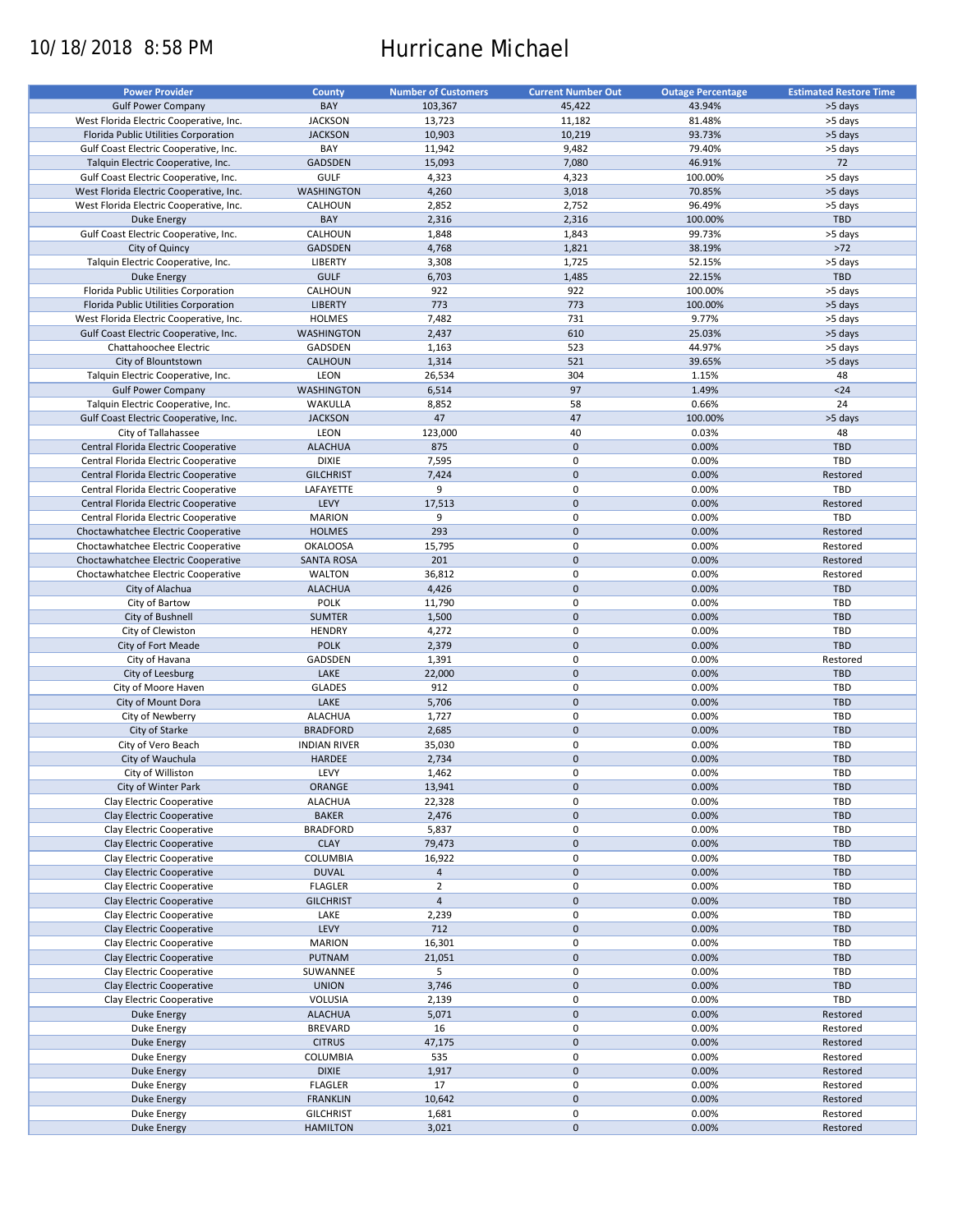# 10/18/2018 8:58 PM Hurricane Michael

| <b>Power Provider</b>                   | <b>County</b>       | <b>Number of Customers</b> | <b>Current Number Out</b> | <b>Outage Percentage</b> | <b>Estimated Restore Time</b> |
|-----------------------------------------|---------------------|----------------------------|---------------------------|--------------------------|-------------------------------|
|                                         |                     |                            |                           |                          |                               |
| <b>Gulf Power Company</b>               | BAY                 | 103,367                    | 45,422                    | 43.94%                   | >5 days                       |
| West Florida Electric Cooperative, Inc. | <b>JACKSON</b>      | 13,723                     | 11,182                    | 81.48%                   | >5 days                       |
| Florida Public Utilities Corporation    | <b>JACKSON</b>      | 10,903                     | 10,219                    | 93.73%                   | >5 days                       |
| Gulf Coast Electric Cooperative, Inc.   | BAY                 | 11,942                     | 9,482                     | 79.40%                   | >5 days                       |
| Talquin Electric Cooperative, Inc.      | GADSDEN             | 15,093                     | 7,080                     | 46.91%                   | 72                            |
| Gulf Coast Electric Cooperative, Inc.   | <b>GULF</b>         | 4,323                      | 4,323                     | 100.00%                  | >5 days                       |
|                                         |                     |                            |                           |                          |                               |
| West Florida Electric Cooperative, Inc. | <b>WASHINGTON</b>   | 4,260                      | 3,018                     | 70.85%                   | >5 days                       |
| West Florida Electric Cooperative, Inc. | CALHOUN             | 2,852                      | 2,752                     | 96.49%                   | >5 days                       |
| <b>Duke Energy</b>                      | BAY                 | 2,316                      | 2,316                     | 100.00%                  | <b>TBD</b>                    |
| Gulf Coast Electric Cooperative, Inc.   | CALHOUN             | 1,848                      | 1,843                     | 99.73%                   | >5 days                       |
| City of Quincy                          | <b>GADSDEN</b>      | 4,768                      | 1,821                     | 38.19%                   | $>72$                         |
| Talquin Electric Cooperative, Inc.      | <b>LIBERTY</b>      | 3,308                      | 1,725                     | 52.15%                   | >5 days                       |
|                                         |                     |                            |                           |                          |                               |
| <b>Duke Energy</b>                      | <b>GULF</b>         | 6,703                      | 1,485                     | 22.15%                   | TBD                           |
| Florida Public Utilities Corporation    | CALHOUN             | 922                        | 922                       | 100.00%                  | >5 days                       |
| Florida Public Utilities Corporation    | <b>LIBERTY</b>      | 773                        | 773                       | 100.00%                  | >5 days                       |
| West Florida Electric Cooperative, Inc. | <b>HOLMES</b>       | 7,482                      | 731                       | 9.77%                    | >5 days                       |
| Gulf Coast Electric Cooperative, Inc.   | <b>WASHINGTON</b>   | 2,437                      | 610                       | 25.03%                   | >5 days                       |
| Chattahoochee Electric                  | GADSDEN             | 1,163                      | 523                       | 44.97%                   | >5 days                       |
|                                         |                     |                            |                           |                          |                               |
| City of Blountstown                     | CALHOUN             | 1,314                      | 521                       | 39.65%                   | >5 days                       |
| Talquin Electric Cooperative, Inc.      | LEON                | 26,534                     | 304                       | 1.15%                    | 48                            |
| <b>Gulf Power Company</b>               | <b>WASHINGTON</b>   | 6,514                      | 97                        | 1.49%                    | $24$                          |
| Talquin Electric Cooperative, Inc.      | WAKULLA             | 8,852                      | 58                        | 0.66%                    | 24                            |
| Gulf Coast Electric Cooperative, Inc.   | <b>JACKSON</b>      | 47                         | 47                        | 100.00%                  | >5 days                       |
| City of Tallahassee                     | LEON                | 123,000                    | 40                        | 0.03%                    | 48                            |
|                                         |                     |                            |                           |                          |                               |
| Central Florida Electric Cooperative    | <b>ALACHUA</b>      | 875                        | $\pmb{0}$                 | 0.00%                    | <b>TBD</b>                    |
| Central Florida Electric Cooperative    | <b>DIXIE</b>        | 7,595                      | $\mathbf 0$               | 0.00%                    | TBD                           |
| Central Florida Electric Cooperative    | <b>GILCHRIST</b>    | 7,424                      | $\pmb{0}$                 | 0.00%                    | Restored                      |
| Central Florida Electric Cooperative    | LAFAYETTE           | 9                          | 0                         | 0.00%                    | TBD                           |
| Central Florida Electric Cooperative    | LEVY                | 17,513                     | $\pmb{0}$                 | 0.00%                    | Restored                      |
|                                         |                     |                            |                           |                          |                               |
| Central Florida Electric Cooperative    | <b>MARION</b>       | 9                          | $\mathbf 0$               | 0.00%                    | TBD                           |
| Choctawhatchee Electric Cooperative     | <b>HOLMES</b>       | 293                        | $\pmb{0}$                 | 0.00%                    | Restored                      |
| Choctawhatchee Electric Cooperative     | <b>OKALOOSA</b>     | 15,795                     | 0                         | 0.00%                    | Restored                      |
| Choctawhatchee Electric Cooperative     | <b>SANTA ROSA</b>   | 201                        | $\mathbf 0$               | 0.00%                    | Restored                      |
| Choctawhatchee Electric Cooperative     | <b>WALTON</b>       | 36,812                     | 0                         | 0.00%                    | Restored                      |
| City of Alachua                         | <b>ALACHUA</b>      | 4,426                      | $\mathbf 0$               | 0.00%                    | <b>TBD</b>                    |
|                                         |                     |                            |                           |                          |                               |
| City of Bartow                          | <b>POLK</b>         | 11,790                     | 0                         | 0.00%                    | TBD                           |
| City of Bushnell                        | <b>SUMTER</b>       | 1,500                      | $\mathbf 0$               | 0.00%                    | <b>TBD</b>                    |
| City of Clewiston                       | <b>HENDRY</b>       | 4,272                      | $\pmb{0}$                 | 0.00%                    | TBD                           |
| City of Fort Meade                      | <b>POLK</b>         | 2,379                      | $\mathbf 0$               | 0.00%                    | TBD                           |
| City of Havana                          | GADSDEN             | 1,391                      | $\pmb{0}$                 | 0.00%                    | Restored                      |
| City of Leesburg                        | LAKE                | 22,000                     | $\mathbf 0$               | 0.00%                    | TBD                           |
|                                         |                     |                            |                           |                          |                               |
| City of Moore Haven                     | <b>GLADES</b>       | 912                        | 0                         | 0.00%                    | TBD                           |
| City of Mount Dora                      | LAKE                | 5,706                      | $\pmb{0}$                 | 0.00%                    | <b>TBD</b>                    |
| City of Newberry                        | <b>ALACHUA</b>      | 1,727                      | 0                         | 0.00%                    | TBD                           |
| City of Starke                          | <b>BRADFORD</b>     | 2,685                      | $\pmb{0}$                 | 0.00%                    | <b>TBD</b>                    |
| City of Vero Beach                      | <b>INDIAN RIVER</b> | 35,030                     | 0                         | 0.00%                    | <b>TBD</b>                    |
| City of Wauchula                        | HARDEE              | 2,734                      | $\pmb{0}$                 | 0.00%                    | <b>TBD</b>                    |
|                                         |                     |                            |                           |                          |                               |
| City of Williston                       | LEVY                | 1,462                      | $\mathbf 0$               | 0.00%                    | TBD                           |
| City of Winter Park                     | ORANGE              | 13,941                     | $\pmb{0}$                 | 0.00%                    | TBD                           |
| Clay Electric Cooperative               | <b>ALACHUA</b>      | 22,328                     | 0                         | 0.00%                    | TBD                           |
| Clay Electric Cooperative               | <b>BAKER</b>        | 2,476                      | $\pmb{0}$                 | 0.00%                    | <b>TBD</b>                    |
| Clay Electric Cooperative               | <b>BRADFORD</b>     | 5,837                      | 0                         | 0.00%                    | TBD                           |
| Clay Electric Cooperative               | <b>CLAY</b>         |                            | $\pmb{0}$                 | 0.00%                    | TBD                           |
|                                         |                     | 79,473                     |                           |                          |                               |
| Clay Electric Cooperative               | COLUMBIA            | 16,922                     | 0                         | 0.00%                    | TBD                           |
| Clay Electric Cooperative               | <b>DUVAL</b>        | $\overline{4}$             | $\pmb{0}$                 | 0.00%                    | TBD                           |
| Clay Electric Cooperative               | <b>FLAGLER</b>      | $\overline{2}$             | 0                         | 0.00%                    | TBD                           |
| Clay Electric Cooperative               | <b>GILCHRIST</b>    | $\overline{4}$             | 0                         | 0.00%                    | <b>TBD</b>                    |
| Clay Electric Cooperative               | LAKE                | 2,239                      | 0                         | 0.00%                    | TBD                           |
| Clay Electric Cooperative               | LEVY                | 712                        | $\pmb{0}$                 | 0.00%                    | <b>TBD</b>                    |
|                                         |                     |                            |                           |                          |                               |
| Clay Electric Cooperative               | <b>MARION</b>       | 16,301                     | 0                         | 0.00%                    | TBD                           |
| Clay Electric Cooperative               | PUTNAM              | 21,051                     | $\pmb{0}$                 | 0.00%                    | <b>TBD</b>                    |
| Clay Electric Cooperative               | SUWANNEE            | 5                          | 0                         | 0.00%                    | TBD                           |
| Clay Electric Cooperative               | <b>UNION</b>        | 3,746                      | $\pmb{0}$                 | 0.00%                    | <b>TBD</b>                    |
| Clay Electric Cooperative               | VOLUSIA             | 2,139                      | 0                         | 0.00%                    | TBD                           |
|                                         | <b>ALACHUA</b>      | 5,071                      | $\pmb{0}$                 | 0.00%                    |                               |
| <b>Duke Energy</b>                      |                     |                            |                           |                          | Restored                      |
| Duke Energy                             | <b>BREVARD</b>      | 16                         | 0                         | 0.00%                    | Restored                      |
| Duke Energy                             | <b>CITRUS</b>       | 47,175                     | $\pmb{0}$                 | 0.00%                    | Restored                      |
| Duke Energy                             | COLUMBIA            | 535                        | 0                         | 0.00%                    | Restored                      |
| <b>Duke Energy</b>                      | <b>DIXIE</b>        | 1,917                      | $\pmb{0}$                 | 0.00%                    | Restored                      |
| Duke Energy                             | <b>FLAGLER</b>      | 17                         | 0                         | 0.00%                    | Restored                      |
| <b>Duke Energy</b>                      | <b>FRANKLIN</b>     | 10,642                     | $\pmb{0}$                 | 0.00%                    | Restored                      |
|                                         |                     |                            |                           |                          |                               |
| Duke Energy                             | <b>GILCHRIST</b>    | 1,681                      | 0                         | 0.00%                    | Restored                      |
| <b>Duke Energy</b>                      | <b>HAMILTON</b>     | 3,021                      | $\pmb{0}$                 | 0.00%                    | Restored                      |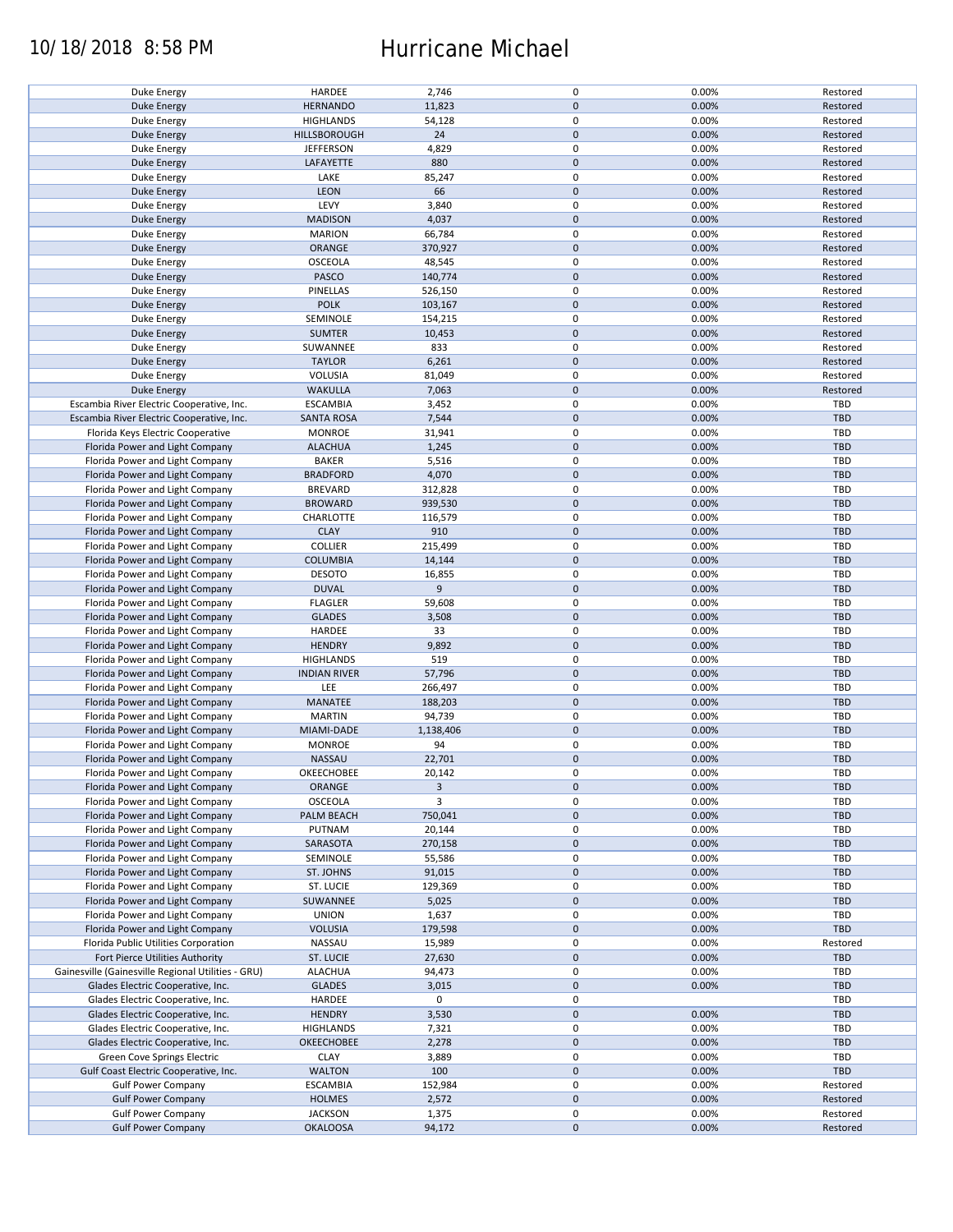### 10/18/2018 8:58 PM Hurricane Michael

| Duke Energy                                        | HARDEE              | 2,746     | 0           | 0.00% | Restored   |
|----------------------------------------------------|---------------------|-----------|-------------|-------|------------|
| <b>Duke Energy</b>                                 | <b>HERNANDO</b>     | 11,823    | $\pmb{0}$   | 0.00% | Restored   |
| <b>Duke Energy</b>                                 | <b>HIGHLANDS</b>    | 54,128    | 0           | 0.00% | Restored   |
|                                                    |                     |           | $\pmb{0}$   |       |            |
| <b>Duke Energy</b>                                 | HILLSBOROUGH        | 24        |             | 0.00% | Restored   |
| Duke Energy                                        | <b>JEFFERSON</b>    | 4,829     | 0           | 0.00% | Restored   |
| Duke Energy                                        | LAFAYETTE           | 880       | $\mathbf 0$ | 0.00% | Restored   |
|                                                    |                     |           |             |       |            |
| Duke Energy                                        | LAKE                | 85,247    | 0           | 0.00% | Restored   |
| Duke Energy                                        | <b>LEON</b>         | 66        | $\pmb{0}$   | 0.00% | Restored   |
| Duke Energy                                        | LEVY                | 3,840     | 0           | 0.00% | Restored   |
|                                                    |                     |           |             |       |            |
| <b>Duke Energy</b>                                 | <b>MADISON</b>      | 4,037     | $\pmb{0}$   | 0.00% | Restored   |
| Duke Energy                                        | <b>MARION</b>       | 66,784    | 0           | 0.00% | Restored   |
| <b>Duke Energy</b>                                 | ORANGE              | 370,927   | $\pmb{0}$   | 0.00% | Restored   |
|                                                    |                     |           |             |       |            |
| Duke Energy                                        | OSCEOLA             | 48,545    | 0           | 0.00% | Restored   |
| Duke Energy                                        | PASCO               | 140,774   | $\mathbf 0$ | 0.00% | Restored   |
|                                                    | PINELLAS            | 526,150   | 0           | 0.00% | Restored   |
| Duke Energy                                        |                     |           |             |       |            |
| <b>Duke Energy</b>                                 | <b>POLK</b>         | 103,167   | $\mathbf 0$ | 0.00% | Restored   |
| Duke Energy                                        | SEMINOLE            | 154,215   | 0           | 0.00% | Restored   |
| <b>Duke Energy</b>                                 | <b>SUMTER</b>       | 10,453    | $\pmb{0}$   | 0.00% | Restored   |
|                                                    |                     |           |             |       |            |
| Duke Energy                                        | SUWANNEE            | 833       | $\pmb{0}$   | 0.00% | Restored   |
| <b>Duke Energy</b>                                 | <b>TAYLOR</b>       | 6,261     | $\pmb{0}$   | 0.00% | Restored   |
|                                                    |                     |           |             |       |            |
| Duke Energy                                        | <b>VOLUSIA</b>      | 81,049    | 0           | 0.00% | Restored   |
| <b>Duke Energy</b>                                 | <b>WAKULLA</b>      | 7,063     | $\pmb{0}$   | 0.00% | Restored   |
| Escambia River Electric Cooperative, Inc.          | <b>ESCAMBIA</b>     | 3,452     | 0           | 0.00% | <b>TBD</b> |
|                                                    |                     |           |             |       |            |
| Escambia River Electric Cooperative, Inc.          | <b>SANTA ROSA</b>   | 7,544     | $\pmb{0}$   | 0.00% | <b>TBD</b> |
| Florida Keys Electric Cooperative                  | <b>MONROE</b>       | 31,941    | $\mathbf 0$ | 0.00% | <b>TBD</b> |
| Florida Power and Light Company                    | <b>ALACHUA</b>      | 1,245     | $\pmb{0}$   | 0.00% | <b>TBD</b> |
|                                                    |                     |           |             |       |            |
| Florida Power and Light Company                    | <b>BAKER</b>        | 5,516     | $\mathbf 0$ | 0.00% | TBD        |
| Florida Power and Light Company                    | <b>BRADFORD</b>     | 4,070     | $\pmb{0}$   | 0.00% | <b>TBD</b> |
|                                                    |                     |           | $\mathbf 0$ |       | <b>TBD</b> |
| Florida Power and Light Company                    | <b>BREVARD</b>      | 312,828   |             | 0.00% |            |
| Florida Power and Light Company                    | <b>BROWARD</b>      | 939,530   | $\pmb{0}$   | 0.00% | <b>TBD</b> |
| Florida Power and Light Company                    | CHARLOTTE           | 116,579   | $\mathbf 0$ | 0.00% | TBD        |
|                                                    |                     |           |             |       |            |
| Florida Power and Light Company                    | <b>CLAY</b>         | 910       | $\pmb{0}$   | 0.00% | <b>TBD</b> |
| Florida Power and Light Company                    | <b>COLLIER</b>      | 215,499   | 0           | 0.00% | TBD        |
| Florida Power and Light Company                    | <b>COLUMBIA</b>     | 14,144    | $\pmb{0}$   | 0.00% | <b>TBD</b> |
|                                                    |                     |           |             |       |            |
| Florida Power and Light Company                    | <b>DESOTO</b>       | 16,855    | $\pmb{0}$   | 0.00% | <b>TBD</b> |
| Florida Power and Light Company                    | <b>DUVAL</b>        | 9         | $\mathbf 0$ | 0.00% | <b>TBD</b> |
|                                                    |                     |           | 0           | 0.00% | TBD        |
| Florida Power and Light Company                    | <b>FLAGLER</b>      | 59,608    |             |       |            |
| Florida Power and Light Company                    | <b>GLADES</b>       | 3,508     | $\mathbf 0$ | 0.00% | <b>TBD</b> |
| Florida Power and Light Company                    | HARDEE              | 33        | 0           | 0.00% | TBD        |
|                                                    |                     |           |             |       |            |
| Florida Power and Light Company                    | <b>HENDRY</b>       | 9,892     | $\pmb{0}$   | 0.00% | <b>TBD</b> |
| Florida Power and Light Company                    | <b>HIGHLANDS</b>    | 519       | 0           | 0.00% | TBD        |
| Florida Power and Light Company                    | <b>INDIAN RIVER</b> | 57,796    | $\pmb{0}$   | 0.00% | <b>TBD</b> |
|                                                    |                     |           |             |       |            |
| Florida Power and Light Company                    | LEE                 | 266,497   | 0           | 0.00% | <b>TBD</b> |
| Florida Power and Light Company                    | MANATEE             | 188,203   | $\mathbf 0$ | 0.00% | <b>TBD</b> |
|                                                    | <b>MARTIN</b>       | 94,739    | 0           | 0.00% | TBD        |
| Florida Power and Light Company                    |                     |           |             |       |            |
| Florida Power and Light Company                    | MIAMI-DADE          | 1,138,406 | $\mathbf 0$ | 0.00% | <b>TBD</b> |
| Florida Power and Light Company                    | <b>MONROE</b>       | 94        | 0           | 0.00% | TBD        |
|                                                    |                     |           |             |       |            |
| Florida Power and Light Company                    | NASSAU              | 22,701    | $\pmb{0}$   | 0.00% | <b>TBD</b> |
| Florida Power and Light Company                    | OKEECHOBEE          | 20,142    | $\mathbf 0$ | 0.00% | TBD        |
| Florida Power and Light Company                    | ORANGE              | 3         | $\pmb{0}$   | 0.00% | <b>TBD</b> |
|                                                    |                     |           |             |       |            |
| Florida Power and Light Company                    | OSCEOLA             | 3         | 0           | 0.00% | TBD        |
| Florida Power and Light Company                    | PALM BEACH          | 750,041   | $\pmb{0}$   | 0.00% | <b>TBD</b> |
| Florida Power and Light Company                    | PUTNAM              | 20,144    | 0           | 0.00% | TBD        |
|                                                    |                     |           |             |       |            |
| Florida Power and Light Company                    | SARASOTA            | 270,158   | $\pmb{0}$   | 0.00% | <b>TBD</b> |
| Florida Power and Light Company                    | SEMINOLE            | 55,586    | 0           | 0.00% | TBD        |
| Florida Power and Light Company                    | ST. JOHNS           | 91,015    | $\pmb{0}$   | 0.00% | <b>TBD</b> |
|                                                    |                     |           |             |       |            |
| Florida Power and Light Company                    | ST. LUCIE           | 129,369   | 0           | 0.00% | TBD        |
| Florida Power and Light Company                    | SUWANNEE            | 5,025     | $\pmb{0}$   | 0.00% | <b>TBD</b> |
|                                                    |                     |           |             |       |            |
| Florida Power and Light Company                    | <b>UNION</b>        | 1,637     | 0           | 0.00% | TBD        |
| Florida Power and Light Company                    | <b>VOLUSIA</b>      | 179,598   | $\mathbf 0$ | 0.00% | <b>TBD</b> |
| Florida Public Utilities Corporation               | NASSAU              | 15,989    | 0           | 0.00% | Restored   |
|                                                    |                     |           |             |       |            |
| Fort Pierce Utilities Authority                    | ST. LUCIE           | 27,630    | 0           | 0.00% | <b>TBD</b> |
| Gainesville (Gainesville Regional Utilities - GRU) | <b>ALACHUA</b>      | 94,473    | 0           | 0.00% | TBD        |
| Glades Electric Cooperative, Inc.                  | <b>GLADES</b>       | 3,015     | $\pmb{0}$   | 0.00% | <b>TBD</b> |
|                                                    |                     |           |             |       |            |
| Glades Electric Cooperative, Inc.                  | HARDEE              | 0         | 0           |       | TBD        |
| Glades Electric Cooperative, Inc.                  | <b>HENDRY</b>       | 3,530     | $\pmb{0}$   | 0.00% | <b>TBD</b> |
|                                                    |                     |           |             |       | TBD        |
| Glades Electric Cooperative, Inc.                  | <b>HIGHLANDS</b>    | 7,321     | 0           | 0.00% |            |
| Glades Electric Cooperative, Inc.                  | OKEECHOBEE          | 2,278     | $\pmb{0}$   | 0.00% | <b>TBD</b> |
| Green Cove Springs Electric                        | <b>CLAY</b>         | 3,889     | $\pmb{0}$   | 0.00% | TBD        |
|                                                    |                     |           |             |       |            |
| Gulf Coast Electric Cooperative, Inc.              | <b>WALTON</b>       | 100       | $\pmb{0}$   | 0.00% | TBD        |
| <b>Gulf Power Company</b>                          | <b>ESCAMBIA</b>     | 152,984   | 0           | 0.00% | Restored   |
| <b>Gulf Power Company</b>                          | <b>HOLMES</b>       | 2,572     | $\pmb{0}$   | 0.00% | Restored   |
|                                                    |                     |           |             |       |            |
| <b>Gulf Power Company</b>                          | <b>JACKSON</b>      | 1,375     | 0           | 0.00% | Restored   |
| <b>Gulf Power Company</b>                          | <b>OKALOOSA</b>     | 94,172    | $\mathbf 0$ | 0.00% | Restored   |
|                                                    |                     |           |             |       |            |